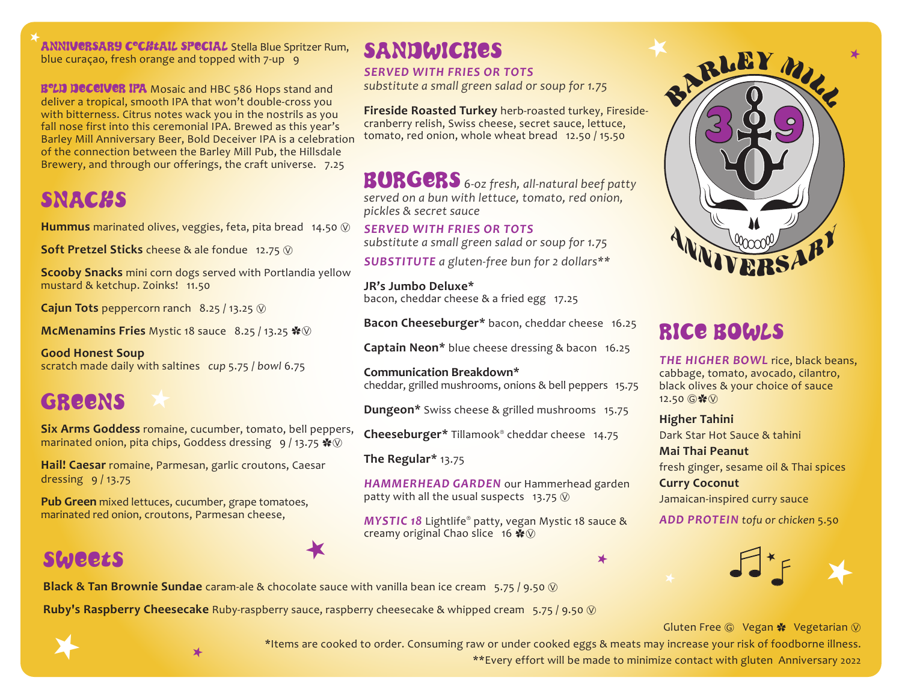ANNIVERSARY C°CHtAIL SPECIAL Stella Blue Spritzer Rum, blue curação, fresh orange and topped with  $7$ -up  $9$ 

**B°LD DECEIVER IPA** Mosaic and HBC 586 Hops stand and deliver a tropical, smooth IPA that won't double-cross you with bitterness. Citrus notes wack you in the nostrils as you fall nose first into this ceremonial IPA. Brewed as this year's Barley Mill Anniversary Beer, Bold Deceiver IPA is a celebration of the connection between the Barley Mill Pub, the Hillsdale Brewery, and through our offerings, the craft universe. 7.25

## **SNACHS**

**Hummus** marinated olives, veggies, feta, pita bread 14.50  $\circledR$ 

**Soft Pretzel Sticks** cheese & ale fondue 12.75  $\heartsuit$ 

**Scooby Snacks** mini corn dogs served with Portlandia yellow mustard & ketchup. Zoinks! 11.50

**Cajun Tots** peppercorn ranch 8.25 / 13.25  $\circledR$ 

**McMenamins Fries** Mystic 18 sauce 8.25 / 13.25  $\cdot\sqrt[4]{\sqrt{9}}$ 

**Good Honest Soup**  scratch made daily with saltines *cup* 5.75 / *bowl* 6.75

# **GREENS**

**Six Arms Goddess** romaine, cucumber, tomato, bell peppers, marinated onion, pita chips, Goddess dressing 9 / 13.75  $\cdot\$ 

**Hail! Caesar** romaine, Parmesan, garlic croutons, Caesar dressing 9 / 13.75

**Pub Green** mixed lettuces, cucumber, grape tomatoes, marinated red onion, croutons, Parmesan cheese,

## SWEETS

# SANDWICHES

### *SERVED WITH FRIES OR TOTS*

*substitute a small green salad or soup for 1.75*

**Fireside Roasted Turkey** herb-roasted turkey, Firesidecranberry relish, Swiss cheese, secret sauce, lettuce, tomato, red onion, whole wheat bread 12.50 / 15.50

BURGERS *6-oz fresh, all-natural beef patty served on a bun with lettuce, tomato, red onion, pickles & secret sauce*

#### *SERVED WITH FRIES OR TOTS*

*substitute a small green salad or soup for 1.75*

*SUBSTITUTE a gluten-free bun for 2 dollars\*\**

**JR's Jumbo Deluxe\***  bacon, cheddar cheese & a fried egg 17.25

**Bacon Cheeseburger\*** bacon, cheddar cheese 16.25

**Captain Neon\*** blue cheese dressing & bacon 16.25

**Communication Breakdown\***  cheddar, grilled mushrooms, onions & bell peppers 15.75

**Dungeon\*** Swiss cheese & grilled mushrooms 15.75

**Cheeseburger\*** Tillamook® cheddar cheese 14.75

**The Regular\*** 13.75

*HAMMERHEAD GARDEN* our Hammerhead garden patty with all the usual suspects 13.75  $\circledR$ 

*MYSTIC 18* Lightlife® patty, vegan Mystic 18 sauce & creamy original Chao slice 16  $\clubsuit$   $\heartsuit$ 





**Black & Tan Brownie Sundae** caram-ale & chocolate sauce with vanilla bean ice cream 5.75 / 9.50  $\circledR$ 

**Ruby's Raspberry Cheesecake** Ruby-raspberry sauce, raspberry cheesecake & whipped cream 5.75 / 9.50 Ⓥ

 $\bigstar$ 





 $\bigstar$ 

\*Items are cooked to order. Consuming raw or under cooked eggs & meats may increase your risk of foodborne illness. \*\*Every effort will be made to minimize contact with gluten Anniversary 2022



# RICE BOWLS

*THE HIGHER BOWL* rice, black beans, cabbage, tomato, avocado, cilantro, black olives & your choice of sauce  $12.50$   $@$   $*$   $@$ 

**Higher Tahini**  Dark Star Hot Sauce & tahini **Mai Thai Peanut**  fresh ginger, sesame oil & Thai spices **Curry Coconut**  Jamaican-inspired curry sauce

*ADD PROTEIN tofu or chicken* 5.50